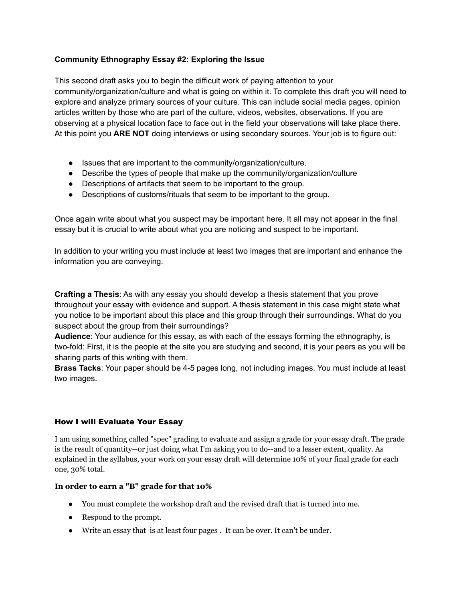# **Community Ethnography Essay #2: Exploring the Issue**

This second draft asks you to begin the difficult work of paying attention to your community/organization/culture and what is going on within it. To complete this draft you will need to explore and analyze primary sources of your culture. This can include social media pages, opinion articles written by those who are part of the culture, videos, websites, observations. If you are observing at a physical location face to face out in the field your observations will take place there. At this point you **ARE NOT** doing interviews or using secondary sources. Your job is to figure out:

- Issues that are important to the community/organization/culture.
- Describe the types of people that make up the community/organization/culture
- Descriptions of artifacts that seem to be important to the group.
- Descriptions of customs/rituals that seem to be important to the group.

Once again write about what you suspect may be important here. It all may not appear in the final essay but it is crucial to write about what you are noticing and suspect to be important.

In addition to your writing you must include at least two images that are important and enhance the information you are conveying.

**Crafting a Thesis**: As with any essay you should develop a thesis statement that you prove throughout your essay with evidence and support. A thesis statement in this case might state what you notice to be important about this place and this group through their surroundings. What do you suspect about the group from their surroundings?

**Audience**: Your audience for this essay, as with each of the essays forming the ethnography, is two-fold: First, it is the people at the site you are studying and second, it is your peers as you will be sharing parts of this writing with them.

**Brass Tacks**: Your paper should be 4-5 pages long, not including images. You must include at least two images.

## How I will Evaluate Your Essay

I am using something called "spec" grading to evaluate and assign a grade for your essay draft. The grade is the result of quantity--or just doing what I'm asking you to do--and to a lesser extent, quality. As explained in the syllabus, your work on your essay draft will determine 10% of your final grade for each one, 30% total.

## **In order to earn a "B" grade for that 10%**

- You must complete the workshop draft and the revised draft that is turned into me.
- Respond to the prompt.
- Write an essay that is at least four pages . It can be over. It can't be under.